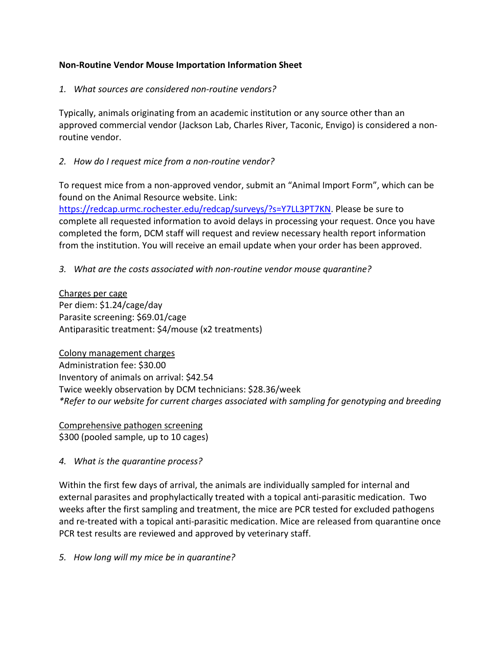### **Non-Routine Vendor Mouse Importation Information Sheet**

#### *1. What sources are considered non-routine vendors?*

Typically, animals originating from an academic institution or any source other than an approved commercial vendor (Jackson Lab, Charles River, Taconic, Envigo) is considered a nonroutine vendor.

#### *2. How do I request mice from a non-routine vendor?*

To request mice from a non-approved vendor, submit an "Animal Import Form", which can be found on the Animal Resource website. Link:

[https://redcap.urmc.rochester.edu/redcap/surveys/?s=Y7LL3PT7KN.](https://redcap.urmc.rochester.edu/redcap/surveys/?s=Y7LL3PT7KN) Please be sure to complete all requested information to avoid delays in processing your request. Once you have completed the form, DCM staff will request and review necessary health report information from the institution. You will receive an email update when your order has been approved.

#### *3. What are the costs associated with non-routine vendor mouse quarantine?*

Charges per cage Per diem: \$1.24/cage/day Parasite screening: \$69.01/cage Antiparasitic treatment: \$4/mouse (x2 treatments)

Colony management charges Administration fee: \$30.00 Inventory of animals on arrival: \$42.54 Twice weekly observation by DCM technicians: \$28.36/week *\*Refer to our website for current charges associated with sampling for genotyping and breeding*

Comprehensive pathogen screening \$300 (pooled sample, up to 10 cages)

*4. What is the quarantine process?*

Within the first few days of arrival, the animals are individually sampled for internal and external parasites and prophylactically treated with a topical anti-parasitic medication. Two weeks after the first sampling and treatment, the mice are PCR tested for excluded pathogens and re-treated with a topical anti-parasitic medication. Mice are released from quarantine once PCR test results are reviewed and approved by veterinary staff.

*5. How long will my mice be in quarantine?*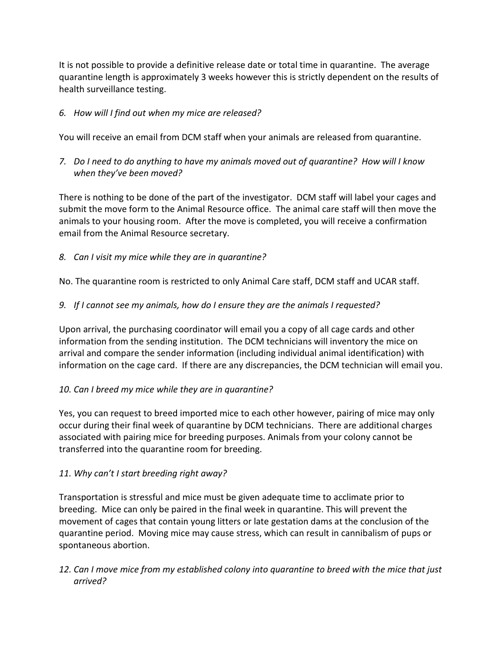It is not possible to provide a definitive release date or total time in quarantine. The average quarantine length is approximately 3 weeks however this is strictly dependent on the results of health surveillance testing.

## *6. How will I find out when my mice are released?*

You will receive an email from DCM staff when your animals are released from quarantine.

*7. Do I need to do anything to have my animals moved out of quarantine? How will I know when they've been moved?*

There is nothing to be done of the part of the investigator. DCM staff will label your cages and submit the move form to the Animal Resource office. The animal care staff will then move the animals to your housing room. After the move is completed, you will receive a confirmation email from the Animal Resource secretary.

*8. Can I visit my mice while they are in quarantine?*

No. The quarantine room is restricted to only Animal Care staff, DCM staff and UCAR staff.

*9. If I cannot see my animals, how do I ensure they are the animals I requested?*

Upon arrival, the purchasing coordinator will email you a copy of all cage cards and other information from the sending institution. The DCM technicians will inventory the mice on arrival and compare the sender information (including individual animal identification) with information on the cage card. If there are any discrepancies, the DCM technician will email you.

## *10. Can I breed my mice while they are in quarantine?*

Yes, you can request to breed imported mice to each other however, pairing of mice may only occur during their final week of quarantine by DCM technicians. There are additional charges associated with pairing mice for breeding purposes. Animals from your colony cannot be transferred into the quarantine room for breeding.

## *11. Why can't I start breeding right away?*

Transportation is stressful and mice must be given adequate time to acclimate prior to breeding. Mice can only be paired in the final week in quarantine. This will prevent the movement of cages that contain young litters or late gestation dams at the conclusion of the quarantine period. Moving mice may cause stress, which can result in cannibalism of pups or spontaneous abortion.

*12. Can I move mice from my established colony into quarantine to breed with the mice that just arrived?*